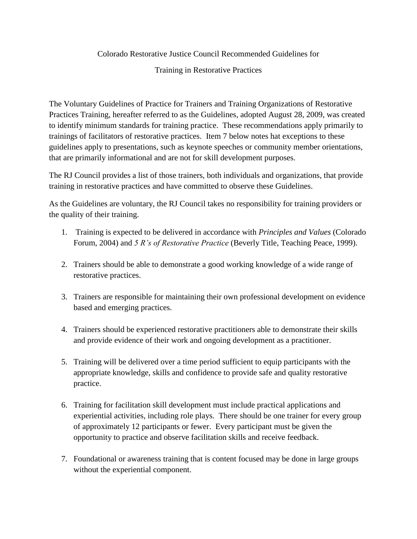## Colorado Restorative Justice Council Recommended Guidelines for

## Training in Restorative Practices

The Voluntary Guidelines of Practice for Trainers and Training Organizations of Restorative Practices Training, hereafter referred to as the Guidelines, adopted August 28, 2009, was created to identify minimum standards for training practice. These recommendations apply primarily to trainings of facilitators of restorative practices. Item 7 below notes hat exceptions to these guidelines apply to presentations, such as keynote speeches or community member orientations, that are primarily informational and are not for skill development purposes.

The RJ Council provides a list of those trainers, both individuals and organizations, that provide training in restorative practices and have committed to observe these Guidelines.

As the Guidelines are voluntary, the RJ Council takes no responsibility for training providers or the quality of their training.

- 1. Training is expected to be delivered in accordance with *Principles and Values* (Colorado Forum, 2004) and *5 R's of Restorative Practice* (Beverly Title, Teaching Peace, 1999).
- 2. Trainers should be able to demonstrate a good working knowledge of a wide range of restorative practices.
- 3. Trainers are responsible for maintaining their own professional development on evidence based and emerging practices.
- 4. Trainers should be experienced restorative practitioners able to demonstrate their skills and provide evidence of their work and ongoing development as a practitioner.
- 5. Training will be delivered over a time period sufficient to equip participants with the appropriate knowledge, skills and confidence to provide safe and quality restorative practice.
- 6. Training for facilitation skill development must include practical applications and experiential activities, including role plays. There should be one trainer for every group of approximately 12 participants or fewer. Every participant must be given the opportunity to practice and observe facilitation skills and receive feedback.
- 7. Foundational or awareness training that is content focused may be done in large groups without the experiential component.